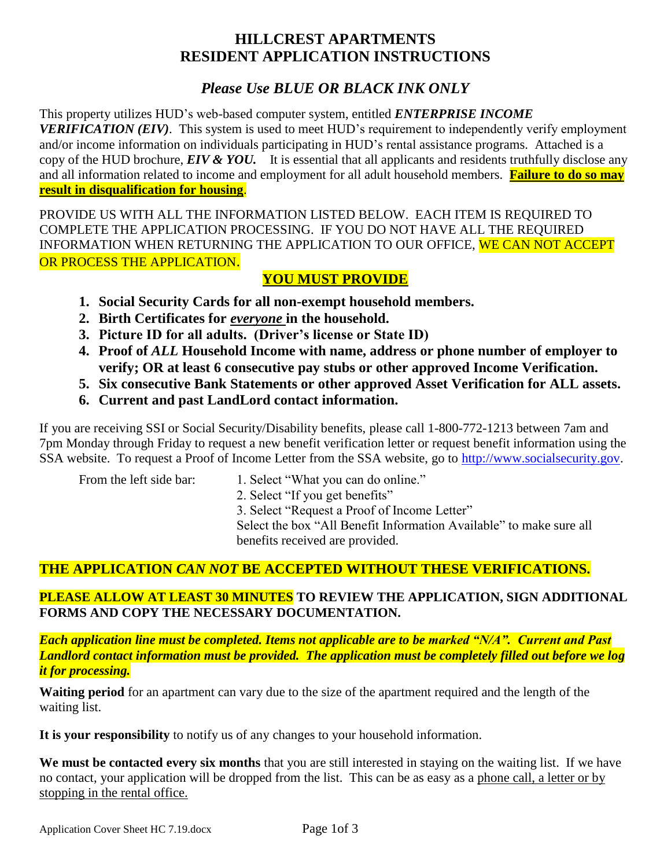# **HILLCREST APARTMENTS RESIDENT APPLICATION INSTRUCTIONS**

# *Please Use BLUE OR BLACK INK ONLY*

This property utilizes HUD's web-based computer system, entitled *ENTERPRISE INCOME VERIFICATION (EIV)*. This system is used to meet HUD's requirement to independently verify employment and/or income information on individuals participating in HUD's rental assistance programs. Attached is a copy of the HUD brochure, *EIV & YOU.* It is essential that all applicants and residents truthfully disclose any and all information related to income and employment for all adult household members. **Failure to do so may result in disqualification for housing**.

PROVIDE US WITH ALL THE INFORMATION LISTED BELOW. EACH ITEM IS REQUIRED TO COMPLETE THE APPLICATION PROCESSING. IF YOU DO NOT HAVE ALL THE REQUIRED INFORMATION WHEN RETURNING THE APPLICATION TO OUR OFFICE, WE CAN NOT ACCEPT OR PROCESS THE APPLICATION.

## **YOU MUST PROVIDE**

- **1. Social Security Cards for all non-exempt household members.**
- **2. Birth Certificates for** *everyone* **in the household.**
- **3. Picture ID for all adults. (Driver's license or State ID)**
- **4. Proof of** *ALL* **Household Income with name, address or phone number of employer to verify; OR at least 6 consecutive pay stubs or other approved Income Verification.**
- **5. Six consecutive Bank Statements or other approved Asset Verification for ALL assets.**
- **6. Current and past LandLord contact information.**

If you are receiving SSI or Social Security/Disability benefits, please call 1-800-772-1213 between 7am and 7pm Monday through Friday to request a new benefit verification letter or request benefit information using the SSA website. To request a Proof of Income Letter from the SSA website, go to [http://www.socialsecurity.gov.](http://www.socialsecurity.gov/)

- From the left side bar: 1. Select "What you can do online."
	- 2. Select "If you get benefits"

3. Select "Request a Proof of Income Letter"

Select the box "All Benefit Information Available" to make sure all benefits received are provided.

# **THE APPLICATION** *CAN NOT* **BE ACCEPTED WITHOUT THESE VERIFICATIONS.**

## **PLEASE ALLOW AT LEAST 30 MINUTES TO REVIEW THE APPLICATION, SIGN ADDITIONAL FORMS AND COPY THE NECESSARY DOCUMENTATION.**

*Each application line must be completed. Items not applicable are to be marked "N/A". Current and Past Landlord contact information must be provided. The application must be completely filled out before we log it for processing.*

**Waiting period** for an apartment can vary due to the size of the apartment required and the length of the waiting list.

**It is your responsibility** to notify us of any changes to your household information.

**We must be contacted every six months** that you are still interested in staying on the waiting list. If we have no contact, your application will be dropped from the list. This can be as easy as a phone call, a letter or by stopping in the rental office.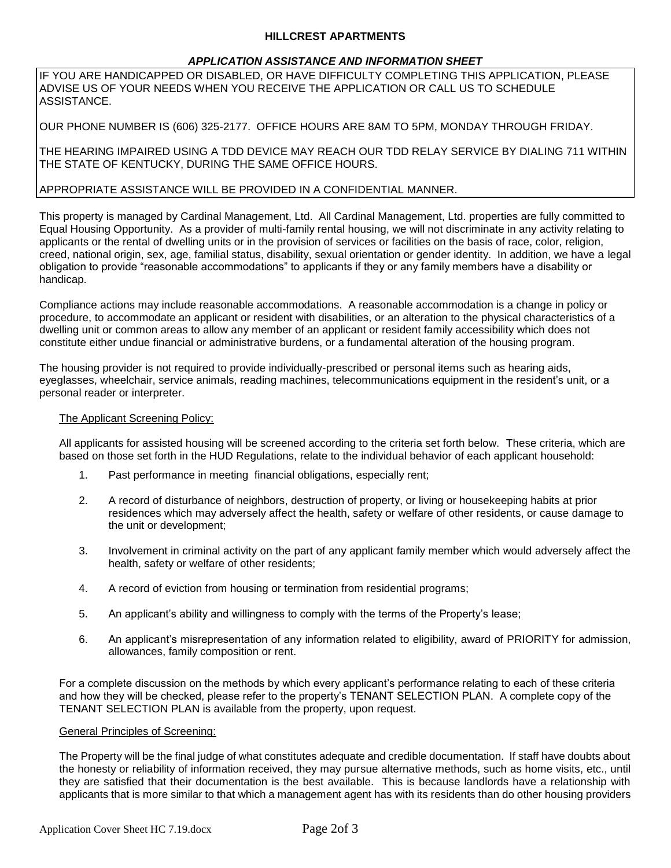### **HILLCREST APARTMENTS**

## *APPLICATION ASSISTANCE AND INFORMATION SHEET*

IF YOU ARE HANDICAPPED OR DISABLED, OR HAVE DIFFICULTY COMPLETING THIS APPLICATION, PLEASE ADVISE US OF YOUR NEEDS WHEN YOU RECEIVE THE APPLICATION OR CALL US TO SCHEDULE ASSISTANCE.

OUR PHONE NUMBER IS (606) 325-2177. OFFICE HOURS ARE 8AM TO 5PM, MONDAY THROUGH FRIDAY.

THE HEARING IMPAIRED USING A TDD DEVICE MAY REACH OUR TDD RELAY SERVICE BY DIALING 711 WITHIN THE STATE OF KENTUCKY, DURING THE SAME OFFICE HOURS.

## APPROPRIATE ASSISTANCE WILL BE PROVIDED IN A CONFIDENTIAL MANNER.

This property is managed by Cardinal Management, Ltd. All Cardinal Management, Ltd. properties are fully committed to Equal Housing Opportunity. As a provider of multi-family rental housing, we will not discriminate in any activity relating to applicants or the rental of dwelling units or in the provision of services or facilities on the basis of race, color, religion, creed, national origin, sex, age, familial status, disability, sexual orientation or gender identity. In addition, we have a legal obligation to provide "reasonable accommodations" to applicants if they or any family members have a disability or handicap.

Compliance actions may include reasonable accommodations. A reasonable accommodation is a change in policy or procedure, to accommodate an applicant or resident with disabilities, or an alteration to the physical characteristics of a dwelling unit or common areas to allow any member of an applicant or resident family accessibility which does not constitute either undue financial or administrative burdens, or a fundamental alteration of the housing program.

The housing provider is not required to provide individually-prescribed or personal items such as hearing aids, eyeglasses, wheelchair, service animals, reading machines, telecommunications equipment in the resident's unit, or a personal reader or interpreter.

## The Applicant Screening Policy:

All applicants for assisted housing will be screened according to the criteria set forth below. These criteria, which are based on those set forth in the HUD Regulations, relate to the individual behavior of each applicant household:

- 1. Past performance in meeting financial obligations, especially rent;
- 2. A record of disturbance of neighbors, destruction of property, or living or housekeeping habits at prior residences which may adversely affect the health, safety or welfare of other residents, or cause damage to the unit or development;
- 3. Involvement in criminal activity on the part of any applicant family member which would adversely affect the health, safety or welfare of other residents;
- 4. A record of eviction from housing or termination from residential programs;
- 5. An applicant's ability and willingness to comply with the terms of the Property's lease;
- 6. An applicant's misrepresentation of any information related to eligibility, award of PRIORITY for admission, allowances, family composition or rent.

For a complete discussion on the methods by which every applicant's performance relating to each of these criteria and how they will be checked, please refer to the property's TENANT SELECTION PLAN. A complete copy of the TENANT SELECTION PLAN is available from the property, upon request.

#### General Principles of Screening:

The Property will be the final judge of what constitutes adequate and credible documentation. If staff have doubts about the honesty or reliability of information received, they may pursue alternative methods, such as home visits, etc., until they are satisfied that their documentation is the best available. This is because landlords have a relationship with applicants that is more similar to that which a management agent has with its residents than do other housing providers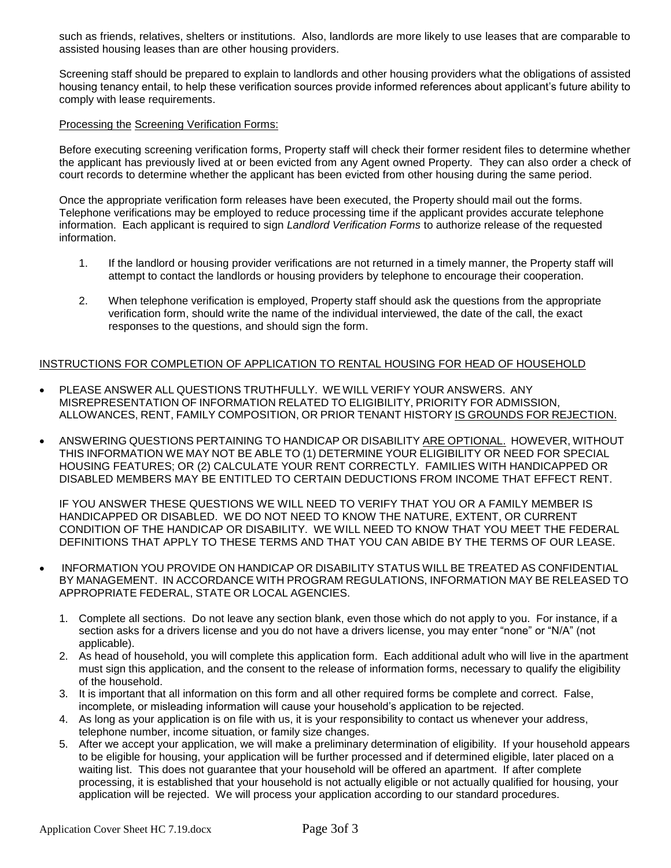such as friends, relatives, shelters or institutions. Also, landlords are more likely to use leases that are comparable to assisted housing leases than are other housing providers.

Screening staff should be prepared to explain to landlords and other housing providers what the obligations of assisted housing tenancy entail, to help these verification sources provide informed references about applicant's future ability to comply with lease requirements.

### Processing the Screening Verification Forms:

Before executing screening verification forms, Property staff will check their former resident files to determine whether the applicant has previously lived at or been evicted from any Agent owned Property. They can also order a check of court records to determine whether the applicant has been evicted from other housing during the same period.

Once the appropriate verification form releases have been executed, the Property should mail out the forms. Telephone verifications may be employed to reduce processing time if the applicant provides accurate telephone information. Each applicant is required to sign *Landlord Verification Forms* to authorize release of the requested information.

- 1. If the landlord or housing provider verifications are not returned in a timely manner, the Property staff will attempt to contact the landlords or housing providers by telephone to encourage their cooperation.
- 2. When telephone verification is employed, Property staff should ask the questions from the appropriate verification form, should write the name of the individual interviewed, the date of the call, the exact responses to the questions, and should sign the form.

## INSTRUCTIONS FOR COMPLETION OF APPLICATION TO RENTAL HOUSING FOR HEAD OF HOUSEHOLD

- PLEASE ANSWER ALL QUESTIONS TRUTHFULLY. WE WILL VERIFY YOUR ANSWERS. ANY MISREPRESENTATION OF INFORMATION RELATED TO ELIGIBILITY, PRIORITY FOR ADMISSION, ALLOWANCES, RENT, FAMILY COMPOSITION, OR PRIOR TENANT HISTORY IS GROUNDS FOR REJECTION.
- ANSWERING QUESTIONS PERTAINING TO HANDICAP OR DISABILITY ARE OPTIONAL. HOWEVER, WITHOUT THIS INFORMATION WE MAY NOT BE ABLE TO (1) DETERMINE YOUR ELIGIBILITY OR NEED FOR SPECIAL HOUSING FEATURES; OR (2) CALCULATE YOUR RENT CORRECTLY. FAMILIES WITH HANDICAPPED OR DISABLED MEMBERS MAY BE ENTITLED TO CERTAIN DEDUCTIONS FROM INCOME THAT EFFECT RENT.

IF YOU ANSWER THESE QUESTIONS WE WILL NEED TO VERIFY THAT YOU OR A FAMILY MEMBER IS HANDICAPPED OR DISABLED. WE DO NOT NEED TO KNOW THE NATURE, EXTENT, OR CURRENT CONDITION OF THE HANDICAP OR DISABILITY. WE WILL NEED TO KNOW THAT YOU MEET THE FEDERAL DEFINITIONS THAT APPLY TO THESE TERMS AND THAT YOU CAN ABIDE BY THE TERMS OF OUR LEASE.

- INFORMATION YOU PROVIDE ON HANDICAP OR DISABILITY STATUS WILL BE TREATED AS CONFIDENTIAL BY MANAGEMENT. IN ACCORDANCE WITH PROGRAM REGULATIONS, INFORMATION MAY BE RELEASED TO APPROPRIATE FEDERAL, STATE OR LOCAL AGENCIES.
	- 1. Complete all sections. Do not leave any section blank, even those which do not apply to you. For instance, if a section asks for a drivers license and you do not have a drivers license, you may enter "none" or "N/A" (not applicable).
	- 2. As head of household, you will complete this application form. Each additional adult who will live in the apartment must sign this application, and the consent to the release of information forms, necessary to qualify the eligibility of the household.
	- 3. It is important that all information on this form and all other required forms be complete and correct. False, incomplete, or misleading information will cause your household's application to be rejected.
	- 4. As long as your application is on file with us, it is your responsibility to contact us whenever your address, telephone number, income situation, or family size changes.
	- 5. After we accept your application, we will make a preliminary determination of eligibility. If your household appears to be eligible for housing, your application will be further processed and if determined eligible, later placed on a waiting list. This does not guarantee that your household will be offered an apartment. If after complete processing, it is established that your household is not actually eligible or not actually qualified for housing, your application will be rejected. We will process your application according to our standard procedures.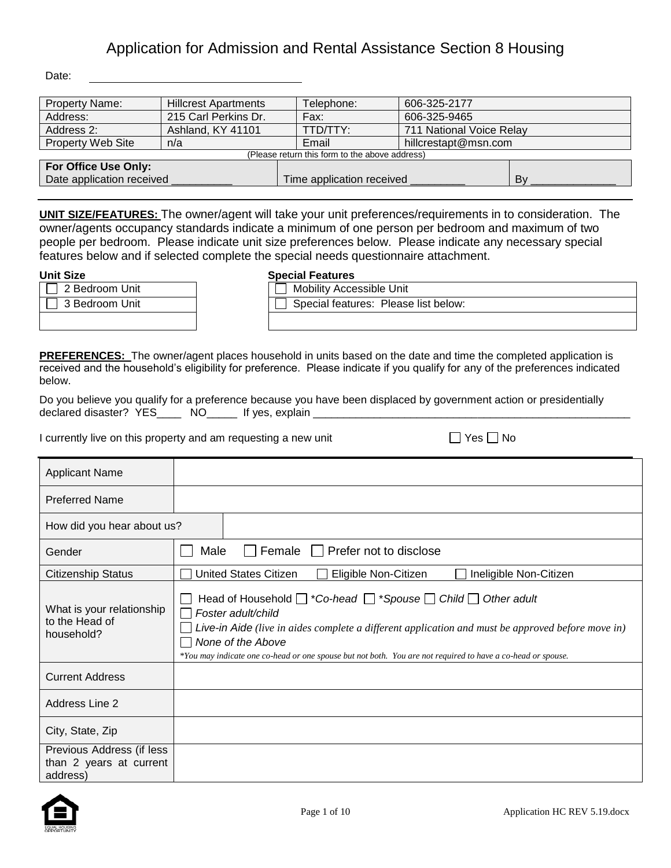Date:

| <b>Property Name:</b>           | <b>Hillcrest Apartments</b>                    | Telephone:                | 606-325-2177             |    |  |  |
|---------------------------------|------------------------------------------------|---------------------------|--------------------------|----|--|--|
| Address:                        | 215 Carl Perkins Dr.                           | Fax:                      | 606-325-9465             |    |  |  |
| Address 2:<br>Ashland, KY 41101 |                                                | TTD/TTY:                  | 711 National Voice Relay |    |  |  |
| <b>Property Web Site</b><br>n/a |                                                | Email                     | hillcrestapt@msn.com     |    |  |  |
|                                 | (Please return this form to the above address) |                           |                          |    |  |  |
| For Office Use Only:            |                                                |                           |                          |    |  |  |
| Date application received       |                                                | Time application received |                          | Bv |  |  |

**UNIT SIZE/FEATURES:** The owner/agent will take your unit preferences/requirements in to consideration. The owner/agents occupancy standards indicate a minimum of one person per bedroom and maximum of two people per bedroom. Please indicate unit size preferences below. Please indicate any necessary special features below and if selected complete the special needs questionnaire attachment.

| .                     | ---------------          |
|-----------------------|--------------------------|
| $\Box$ 2 Bedroom Unit | Mobility Accessible Unit |
| 3 Bedroom Unit        | Special features: Pleas  |
|                       |                          |

## **Unit Size Special Features**

| סאוט           | <b>ODGUIAL LIGILUIGS</b>             |
|----------------|--------------------------------------|
| 2 Bedroom Unit | <b>Mobility Accessible Unit</b>      |
| 3 Bedroom Unit | Special features: Please list below: |
|                |                                      |

**PREFERENCES:** The owner/agent places household in units based on the date and time the completed application is received and the household's eligibility for preference. Please indicate if you qualify for any of the preferences indicated below.

Do you believe you qualify for a preference because you have been displaced by government action or presidentially declared disaster? YES\_\_\_\_\_ NO\_\_\_\_\_ If yes, explain \_\_\_\_\_\_\_

I currently live on this property and am requesting a new unit  $\Box$  Yes  $\Box$  No

| <b>Applicant Name</b>                                            |                                                                                                                                                                                                                                                                                                                                                 |
|------------------------------------------------------------------|-------------------------------------------------------------------------------------------------------------------------------------------------------------------------------------------------------------------------------------------------------------------------------------------------------------------------------------------------|
| <b>Preferred Name</b>                                            |                                                                                                                                                                                                                                                                                                                                                 |
| How did you hear about us?                                       |                                                                                                                                                                                                                                                                                                                                                 |
| Gender                                                           | Prefer not to disclose<br>Female    <br>Male                                                                                                                                                                                                                                                                                                    |
| <b>Citizenship Status</b>                                        | <b>United States Citizen</b><br>Eligible Non-Citizen<br>Ineligible Non-Citizen                                                                                                                                                                                                                                                                  |
| What is your relationship<br>to the Head of<br>household?        | Head of Household $\Box$ *Co-head $\Box$ *Spouse $\Box$ Child $\Box$ Other adult<br>Foster adult/child<br>Live-in Aide (live in aides complete a different application and must be approved before move in)<br>None of the Above<br>*You may indicate one co-head or one spouse but not both. You are not required to have a co-head or spouse. |
| <b>Current Address</b>                                           |                                                                                                                                                                                                                                                                                                                                                 |
| <b>Address Line 2</b>                                            |                                                                                                                                                                                                                                                                                                                                                 |
| City, State, Zip                                                 |                                                                                                                                                                                                                                                                                                                                                 |
| Previous Address (if less<br>than 2 years at current<br>address) |                                                                                                                                                                                                                                                                                                                                                 |

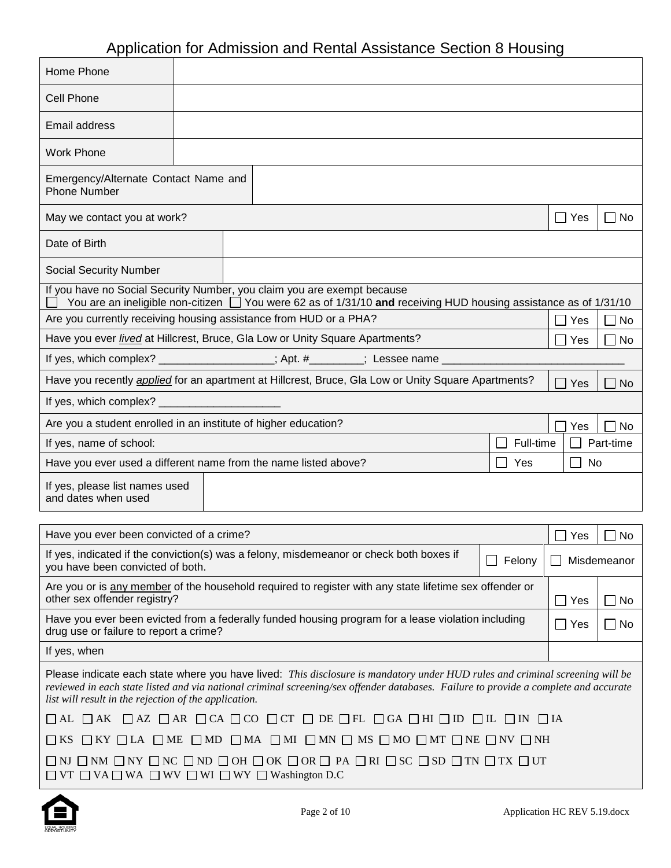| Home Phone                                                                                                                                                                                                                                                                                                                    |  |                                                                                                                  |           |               |             |
|-------------------------------------------------------------------------------------------------------------------------------------------------------------------------------------------------------------------------------------------------------------------------------------------------------------------------------|--|------------------------------------------------------------------------------------------------------------------|-----------|---------------|-------------|
| <b>Cell Phone</b>                                                                                                                                                                                                                                                                                                             |  |                                                                                                                  |           |               |             |
| Email address                                                                                                                                                                                                                                                                                                                 |  |                                                                                                                  |           |               |             |
| <b>Work Phone</b>                                                                                                                                                                                                                                                                                                             |  |                                                                                                                  |           |               |             |
| Emergency/Alternate Contact Name and<br><b>Phone Number</b>                                                                                                                                                                                                                                                                   |  |                                                                                                                  |           |               |             |
| May we contact you at work?                                                                                                                                                                                                                                                                                                   |  |                                                                                                                  |           | $\Box$ Yes    | $\Box$ No   |
| Date of Birth                                                                                                                                                                                                                                                                                                                 |  |                                                                                                                  |           |               |             |
| <b>Social Security Number</b>                                                                                                                                                                                                                                                                                                 |  |                                                                                                                  |           |               |             |
| If you have no Social Security Number, you claim you are exempt because                                                                                                                                                                                                                                                       |  | You are an ineligible non-citizen □ You were 62 as of 1/31/10 and receiving HUD housing assistance as of 1/31/10 |           |               |             |
| Are you currently receiving housing assistance from HUD or a PHA?                                                                                                                                                                                                                                                             |  |                                                                                                                  |           | Yes           | $\Box$ No   |
| Have you ever lived at Hillcrest, Bruce, Gla Low or Unity Square Apartments?                                                                                                                                                                                                                                                  |  |                                                                                                                  |           | Yes           | No          |
| If yes, which complex? ________________; Apt. #_______; Lessee name __________                                                                                                                                                                                                                                                |  |                                                                                                                  |           |               |             |
| Have you recently <i>applied</i> for an apartment at Hillcrest, Bruce, Gla Low or Unity Square Apartments?                                                                                                                                                                                                                    |  |                                                                                                                  |           | Yes           | No          |
| If yes, which complex? __________                                                                                                                                                                                                                                                                                             |  |                                                                                                                  |           |               |             |
| Are you a student enrolled in an institute of higher education?                                                                                                                                                                                                                                                               |  |                                                                                                                  |           | Yes           | No          |
| If yes, name of school:                                                                                                                                                                                                                                                                                                       |  |                                                                                                                  | Full-time |               | Part-time   |
| Have you ever used a different name from the name listed above?                                                                                                                                                                                                                                                               |  |                                                                                                                  | Yes       | No            |             |
| If yes, please list names used<br>and dates when used                                                                                                                                                                                                                                                                         |  |                                                                                                                  |           |               |             |
| Have you ever been convicted of a crime?                                                                                                                                                                                                                                                                                      |  |                                                                                                                  |           |               |             |
| If yes, indicated if the conviction(s) was a felony, misdemeanor or check both boxes if                                                                                                                                                                                                                                       |  |                                                                                                                  |           | Yes           | No          |
| you have been convicted of both.                                                                                                                                                                                                                                                                                              |  |                                                                                                                  | Felony    |               | Misdemeanor |
| Are you or is any member of the household required to register with any state lifetime sex offender or<br>other sex offender registry?                                                                                                                                                                                        |  |                                                                                                                  |           | Yes           | $\Box$ No   |
| Have you ever been evicted from a federally funded housing program for a lease violation including<br>drug use or failure to report a crime?                                                                                                                                                                                  |  |                                                                                                                  |           | $\square$ Yes | $\Box$ No   |
| If yes, when                                                                                                                                                                                                                                                                                                                  |  |                                                                                                                  |           |               |             |
| Please indicate each state where you have lived: This disclosure is mandatory under HUD rules and criminal screening will be<br>reviewed in each state listed and via national criminal screening/sex offender databases. Failure to provide a complete and accurate<br>list will result in the rejection of the application. |  |                                                                                                                  |           |               |             |
| $\Box$ AL $\Box$ AK $\Box$ AZ $\Box$ AR $\Box$ CA $\Box$ CO $\Box$ CT $\Box$ DE $\Box$ FL $\Box$ GA $\Box$ HI $\Box$ ID $\Box$ IL $\Box$ IN $\Box$ IA                                                                                                                                                                         |  |                                                                                                                  |           |               |             |
| $\square$ KS $\square$ KY $\square$ LA $\square$ ME $\square$ MD $\square$ MA $\square$ MI $\square$ MN $\square$ MS $\square$ MO $\square$ MT $\square$ NE $\square$ NV $\square$ NH                                                                                                                                         |  |                                                                                                                  |           |               |             |
| $\square$ ni $\square$ nm $\square$ ny $\square$ nc $\square$ nd $\square$ oh $\square$ ok $\square$ or $\square$ pa $\square$ ri $\square$ sc $\square$ sd $\square$ tn $\square$ tx $\square$ ut<br>$\Box$ VT $\Box$ VA $\Box$ WA $\Box$ WV $\Box$ WI $\Box$ WY $\Box$ Washington D.C                                       |  |                                                                                                                  |           |               |             |



 $\mathbf{r}$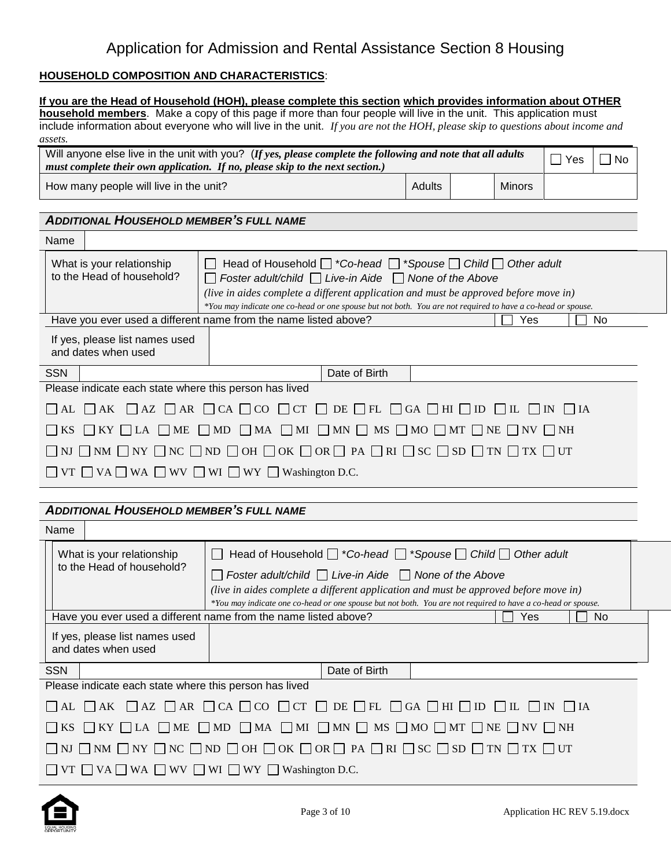## **HOUSEHOLD COMPOSITION AND CHARACTERISTICS**:

|                                                                                                                                                         | If you are the Head of Household (HOH), please complete this section which provides information about OTHER<br>household members. Make a copy of this page if more than four people will live in the unit. This application must                                                                                                                           |  |     |  |    |  |  |
|---------------------------------------------------------------------------------------------------------------------------------------------------------|------------------------------------------------------------------------------------------------------------------------------------------------------------------------------------------------------------------------------------------------------------------------------------------------------------------------------------------------------------|--|-----|--|----|--|--|
|                                                                                                                                                         | include information about everyone who will live in the unit. If you are not the HOH, please skip to questions about income and                                                                                                                                                                                                                            |  |     |  |    |  |  |
| assets.                                                                                                                                                 |                                                                                                                                                                                                                                                                                                                                                            |  |     |  |    |  |  |
|                                                                                                                                                         | Will anyone else live in the unit with you? (If yes, please complete the following and note that all adults<br>$\overline{\phantom{a}}$<br>Yes<br>$\Box$ No<br>must complete their own application. If no, please skip to the next section.)                                                                                                               |  |     |  |    |  |  |
|                                                                                                                                                         | Adults<br><b>Minors</b><br>How many people will live in the unit?                                                                                                                                                                                                                                                                                          |  |     |  |    |  |  |
| <b>ADDITIONAL HOUSEHOLD MEMBER'S FULL NAME</b>                                                                                                          |                                                                                                                                                                                                                                                                                                                                                            |  |     |  |    |  |  |
| Name                                                                                                                                                    |                                                                                                                                                                                                                                                                                                                                                            |  |     |  |    |  |  |
| What is your relationship<br>to the Head of household?                                                                                                  | Head of Household $\Box$ *Co-head $\Box$ *Spouse $\Box$ Child $\Box$ Other adult<br>Foster adult/child $\Box$ Live-in Aide $\Box$ None of the Above<br>(live in aides complete a different application and must be approved before move in)<br>*You may indicate one co-head or one spouse but not both. You are not required to have a co-head or spouse. |  |     |  |    |  |  |
|                                                                                                                                                         | Have you ever used a different name from the name listed above?                                                                                                                                                                                                                                                                                            |  | Yes |  | No |  |  |
| If yes, please list names used<br>and dates when used                                                                                                   |                                                                                                                                                                                                                                                                                                                                                            |  |     |  |    |  |  |
| <b>SSN</b>                                                                                                                                              | Date of Birth                                                                                                                                                                                                                                                                                                                                              |  |     |  |    |  |  |
| Please indicate each state where this person has lived                                                                                                  |                                                                                                                                                                                                                                                                                                                                                            |  |     |  |    |  |  |
| AL<br>  AK<br>$\mathsf{L}$                                                                                                                              | $\Box$ AZ $\Box$ AR $\Box$ CA $\Box$ CO $\Box$ CT $\Box$ DE $\Box$ FL $\Box$ GA $\Box$ HI $\Box$ ID $\Box$ IL $\Box$ IN $\Box$ IA                                                                                                                                                                                                                          |  |     |  |    |  |  |
| ME<br>KS<br>$KY$ LA                                                                                                                                     | $\Box$ MD $\Box$ MA $\Box$ MI $\Box$ MN $\Box$ MS $\Box$ MO $\Box$ MT $\Box$ NE $\Box$ NV $\Box$ NH                                                                                                                                                                                                                                                        |  |     |  |    |  |  |
|                                                                                                                                                         | NJ $\Box$ NM $\Box$ NY $\Box$ NC $\Box$ ND $\Box$ OH $\Box$ OK $\Box$ OR $\Box$ PA $\Box$ RI $\Box$ SC $\Box$ SD $\Box$ TN $\Box$ TX $\Box$ UT                                                                                                                                                                                                             |  |     |  |    |  |  |
|                                                                                                                                                         | $\Box$ VT $\Box$ VA $\Box$ WA $\Box$ WV $\Box$ WI $\Box$ WY $\Box$ Washington D.C.                                                                                                                                                                                                                                                                         |  |     |  |    |  |  |
|                                                                                                                                                         |                                                                                                                                                                                                                                                                                                                                                            |  |     |  |    |  |  |
| <b>ADDITIONAL HOUSEHOLD MEMBER'S FULL NAME</b>                                                                                                          |                                                                                                                                                                                                                                                                                                                                                            |  |     |  |    |  |  |
| Name                                                                                                                                                    |                                                                                                                                                                                                                                                                                                                                                            |  |     |  |    |  |  |
| What is your relationship                                                                                                                               | Head of Household $\Box$ *Co-head $\Box$ *Spouse $\Box$ Child $\Box$ Other adult<br>$\Box$                                                                                                                                                                                                                                                                 |  |     |  |    |  |  |
| to the Head of household?                                                                                                                               | Foster adult/child $\Box$ Live-in Aide $\Box$ None of the Above                                                                                                                                                                                                                                                                                            |  |     |  |    |  |  |
|                                                                                                                                                         | (live in aides complete a different application and must be approved before move in)<br>*You may indicate one co-head or one spouse but not both. You are not required to have a co-head or spouse.                                                                                                                                                        |  |     |  |    |  |  |
|                                                                                                                                                         | Have you ever used a different name from the name listed above?                                                                                                                                                                                                                                                                                            |  | Yes |  | No |  |  |
| If yes, please list names used<br>and dates when used                                                                                                   |                                                                                                                                                                                                                                                                                                                                                            |  |     |  |    |  |  |
| <b>SSN</b>                                                                                                                                              | Date of Birth                                                                                                                                                                                                                                                                                                                                              |  |     |  |    |  |  |
| Please indicate each state where this person has lived                                                                                                  |                                                                                                                                                                                                                                                                                                                                                            |  |     |  |    |  |  |
| $\Box$ AZ $\Box$ AR $\Box$ CA $\Box$ CO $\Box$ CT $\Box$ DE $\Box$ FL $\Box$ GA $\Box$ HI $\Box$ ID<br>$\Box$ AK<br>$\overline{\phantom{a}}$ IA<br>  AL |                                                                                                                                                                                                                                                                                                                                                            |  |     |  |    |  |  |
| $\Box$ ME $\Box$ MD $\Box$ MA $\Box$ MI $\Box$ MN $\Box$ MS $\Box$ MO $\Box$ MT $\Box$ NE $\Box$ NV $\Box$ NH<br>$KY$ $\Box$ LA<br>KS                   |                                                                                                                                                                                                                                                                                                                                                            |  |     |  |    |  |  |
| NJ $\Box$ NM $\Box$ NY $\Box$ NC $\Box$ ND $\Box$ OH $\Box$ OK $\Box$ OR $\Box$ PA $\Box$ RI $\Box$ SC $\Box$ SD $\Box$ TN $\Box$ TX $\Box$ UT          |                                                                                                                                                                                                                                                                                                                                                            |  |     |  |    |  |  |
|                                                                                                                                                         | VT $\Box$ VA $\Box$ WA $\Box$ WV $\Box$ WI $\Box$ WY $\Box$ Washington D.C.                                                                                                                                                                                                                                                                                |  |     |  |    |  |  |

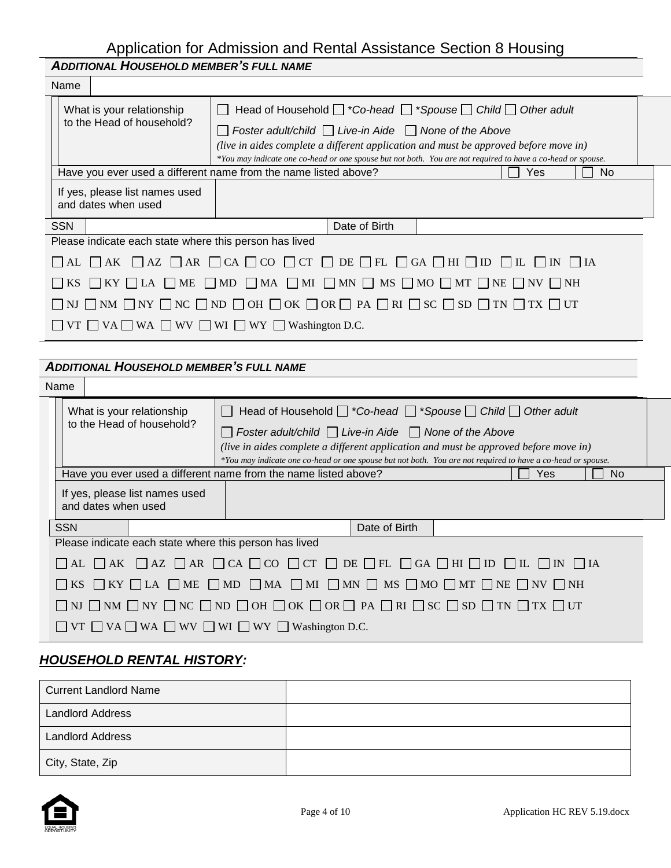|                                                                                                                                                       | <b>ADDITIONAL HOUSEHOLD MEMBER'S FULL NAME</b>                  |                                                        |                                                                                                                           |  |  |  |
|-------------------------------------------------------------------------------------------------------------------------------------------------------|-----------------------------------------------------------------|--------------------------------------------------------|---------------------------------------------------------------------------------------------------------------------------|--|--|--|
|                                                                                                                                                       | Name                                                            |                                                        |                                                                                                                           |  |  |  |
| What is your relationship                                                                                                                             |                                                                 | to the Head of household?                              | $\Box$ Head of Household $\Box$ *Co-head $\Box$ *Spouse $\Box$ Child $\Box$ Other adult                                   |  |  |  |
|                                                                                                                                                       |                                                                 |                                                        | $\Box$ Foster adult/child $\Box$ Live-in Aide $\Box$ None of the Above                                                    |  |  |  |
|                                                                                                                                                       |                                                                 |                                                        | (live in aides complete a different application and must be approved before move in)                                      |  |  |  |
|                                                                                                                                                       |                                                                 |                                                        | *You may indicate one co-head or one spouse but not both. You are not required to have a co-head or spouse.<br>Yes<br>No. |  |  |  |
|                                                                                                                                                       | Have you ever used a different name from the name listed above? |                                                        |                                                                                                                           |  |  |  |
|                                                                                                                                                       | If yes, please list names used<br>and dates when used           |                                                        |                                                                                                                           |  |  |  |
|                                                                                                                                                       |                                                                 |                                                        |                                                                                                                           |  |  |  |
|                                                                                                                                                       | <b>SSN</b>                                                      |                                                        | Date of Birth                                                                                                             |  |  |  |
|                                                                                                                                                       |                                                                 | Please indicate each state where this person has lived |                                                                                                                           |  |  |  |
| $\Box$ AL $\Box$ AZ $\Box$ AR $\Box$ CA $\Box$ CO $\Box$ CT $\Box$ DE $\Box$ FL $\Box$ GA $\Box$ HI $\Box$ ID $\Box$ IL $\Box$ IN $\Box$ IA           |                                                                 |                                                        |                                                                                                                           |  |  |  |
| $\Box$ KS $\Box$ KY $\Box$ LA $\Box$ ME $\Box$ MD $\Box$ MA $\Box$ MI $\Box$ MN $\Box$ MS $\Box$ MO $\Box$ MT $\Box$ NE $\Box$ NV $\Box$ NH           |                                                                 |                                                        |                                                                                                                           |  |  |  |
| $\Box$ nj $\Box$ nm $\Box$ ny $\Box$ nc $\Box$ nd $\Box$ oh $\Box$ ok $\Box$ or $\Box$ PA $\Box$ ri $\Box$ SC $\Box$ SD $\Box$ TN $\Box$ TX $\Box$ UT |                                                                 |                                                        |                                                                                                                           |  |  |  |
|                                                                                                                                                       |                                                                 |                                                        | $\Box$ VT $\Box$ VA $\Box$ WA $\Box$ WV $\Box$ WI $\Box$ WY $\Box$ Washington D.C.                                        |  |  |  |
|                                                                                                                                                       |                                                                 |                                                        |                                                                                                                           |  |  |  |

## *ADDITIONAL HOUSEHOLD MEMBER'S FULL NAME*

| <b>Name</b>                                            |                                                                                                                                                       |  |  |                                                                                                                                                                                                                                                    |               |  |     |     |
|--------------------------------------------------------|-------------------------------------------------------------------------------------------------------------------------------------------------------|--|--|----------------------------------------------------------------------------------------------------------------------------------------------------------------------------------------------------------------------------------------------------|---------------|--|-----|-----|
| What is your relationship<br>to the Head of household? |                                                                                                                                                       |  |  | Head of Household $\Box$ *Co-head $\Box$ *Spouse $\Box$ Child $\Box$ Other adult<br>$\Box$ Foster adult/child $\Box$ Live-in Aide $\Box$ None of the Above<br>(live in aides complete a different application and must be approved before move in) |               |  |     |     |
|                                                        |                                                                                                                                                       |  |  | *You may indicate one co-head or one spouse but not both. You are not required to have a co-head or spouse.                                                                                                                                        |               |  | Yes | No. |
|                                                        | Have you ever used a different name from the name listed above?<br>If yes, please list names used<br>and dates when used                              |  |  |                                                                                                                                                                                                                                                    |               |  |     |     |
|                                                        | <b>SSN</b>                                                                                                                                            |  |  |                                                                                                                                                                                                                                                    | Date of Birth |  |     |     |
|                                                        |                                                                                                                                                       |  |  | Please indicate each state where this person has lived                                                                                                                                                                                             |               |  |     |     |
|                                                        | $\Box$ AL $\Box$ AK $\Box$ AZ $\Box$ AR $\Box$ CA $\Box$ CO $\Box$ CT $\Box$ DE $\Box$ FL $\Box$ GA $\Box$ HI $\Box$ ID $\Box$ IL $\Box$ IN $\Box$ IA |  |  |                                                                                                                                                                                                                                                    |               |  |     |     |
|                                                        | $\Box$ KS $\Box$ KY $\Box$ LA $\Box$ ME $\Box$ MD $\Box$ MA $\Box$ MI $\Box$ MN $\Box$ MS $\Box$ MO $\Box$ MT $\Box$ NE $\Box$ NV $\Box$ NH           |  |  |                                                                                                                                                                                                                                                    |               |  |     |     |
|                                                        | $\Box$ NJ $\Box$ NM $\Box$ NY $\Box$ NC $\Box$ ND $\Box$ OH $\Box$ OK $\Box$ OR $\Box$ PA $\Box$ RI $\Box$ SC $\Box$ SD $\Box$ TN $\Box$ TX $\Box$ UT |  |  |                                                                                                                                                                                                                                                    |               |  |     |     |
|                                                        |                                                                                                                                                       |  |  | $\Box$ VT $\Box$ VA $\Box$ WA $\Box$ WV $\Box$ WI $\Box$ WY $\Box$ Washington D.C.                                                                                                                                                                 |               |  |     |     |

# *HOUSEHOLD RENTAL HISTORY:*

| <b>Current Landlord Name</b> |  |
|------------------------------|--|
| <b>Landlord Address</b>      |  |
| <b>Landlord Address</b>      |  |
| City, State, Zip             |  |

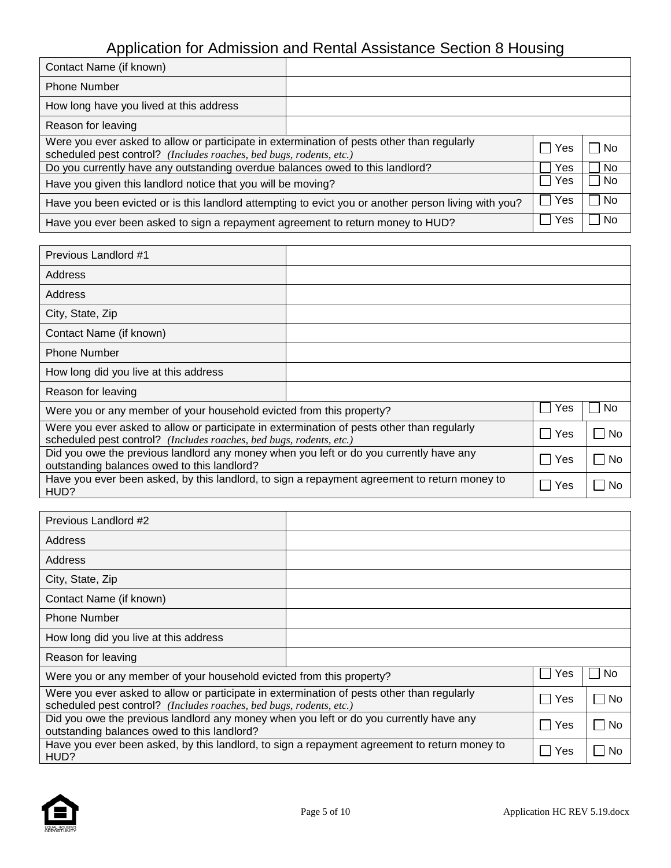| Contact Name (if known)                                                                                                                                           |  |     |           |
|-------------------------------------------------------------------------------------------------------------------------------------------------------------------|--|-----|-----------|
| <b>Phone Number</b>                                                                                                                                               |  |     |           |
| How long have you lived at this address                                                                                                                           |  |     |           |
| Reason for leaving                                                                                                                                                |  |     |           |
| Were you ever asked to allow or participate in extermination of pests other than regularly<br>scheduled pest control? (Includes roaches, bed bugs, rodents, etc.) |  |     | l No      |
| Do you currently have any outstanding overdue balances owed to this landlord?                                                                                     |  | Yes | No        |
| Have you given this landlord notice that you will be moving?                                                                                                      |  |     | <b>No</b> |
| Have you been evicted or is this landlord attempting to evict you or another person living with you?                                                              |  |     | ∣No       |
| Have you ever been asked to sign a repayment agreement to return money to HUD?                                                                                    |  | Yes | <b>No</b> |

| Previous Landlord #1                                                                                                                                              |             |       |
|-------------------------------------------------------------------------------------------------------------------------------------------------------------------|-------------|-------|
| Address                                                                                                                                                           |             |       |
| Address                                                                                                                                                           |             |       |
| City, State, Zip                                                                                                                                                  |             |       |
| Contact Name (if known)                                                                                                                                           |             |       |
| <b>Phone Number</b>                                                                                                                                               |             |       |
| How long did you live at this address                                                                                                                             |             |       |
| Reason for leaving                                                                                                                                                |             |       |
| Were you or any member of your household evicted from this property?                                                                                              | Yes         | No.   |
| Were you ever asked to allow or participate in extermination of pests other than regularly<br>scheduled pest control? (Includes roaches, bed bugs, rodents, etc.) | Yes<br>a sa | ∣ ∣No |
| Did you owe the previous landlord any money when you left or do you currently have any<br>outstanding balances owed to this landlord?                             | Yes         | No    |
| Have you ever been asked, by this landlord, to sign a repayment agreement to return money to<br>HUD?                                                              | Yes         | No    |

| Previous Landlord #2                                                                                                                                              |     |     |
|-------------------------------------------------------------------------------------------------------------------------------------------------------------------|-----|-----|
| Address                                                                                                                                                           |     |     |
| Address                                                                                                                                                           |     |     |
| City, State, Zip                                                                                                                                                  |     |     |
| Contact Name (if known)                                                                                                                                           |     |     |
| <b>Phone Number</b>                                                                                                                                               |     |     |
| How long did you live at this address                                                                                                                             |     |     |
| Reason for leaving                                                                                                                                                |     |     |
| Were you or any member of your household evicted from this property?                                                                                              | Yes | No. |
| Were you ever asked to allow or participate in extermination of pests other than regularly<br>scheduled pest control? (Includes roaches, bed bugs, rodents, etc.) | Yes | No  |
| Did you owe the previous landlord any money when you left or do you currently have any<br>outstanding balances owed to this landlord?                             | Yes | No  |
| Have you ever been asked, by this landlord, to sign a repayment agreement to return money to<br>HUD?                                                              | Yes | No. |

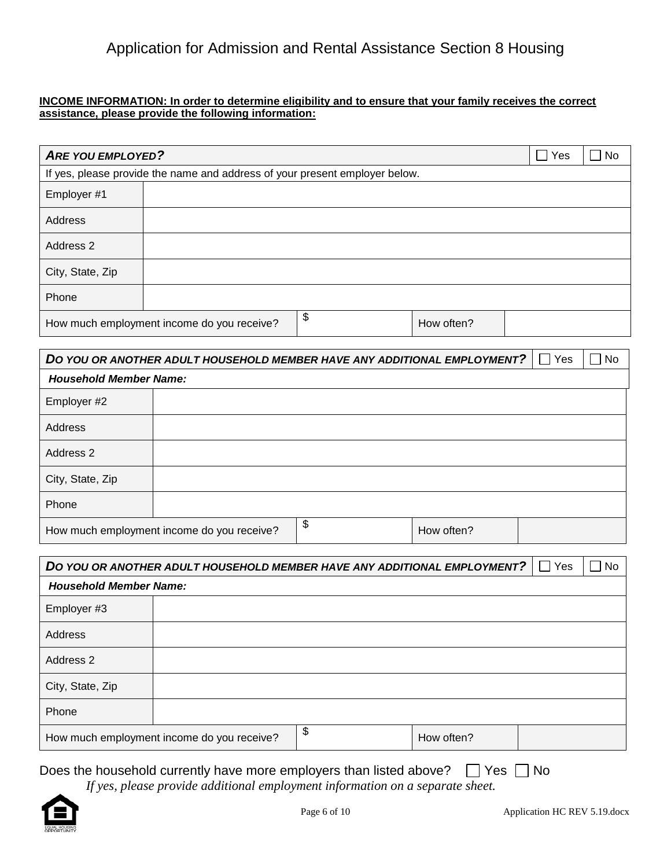## **INCOME INFORMATION: In order to determine eligibility and to ensure that your family receives the correct assistance, please provide the following information:**

| <b>ARE YOU EMPLOYED?</b> |                                                                             |                  | ∣ Yes | No. |
|--------------------------|-----------------------------------------------------------------------------|------------------|-------|-----|
|                          | If yes, please provide the name and address of your present employer below. |                  |       |     |
| Employer #1              |                                                                             |                  |       |     |
| Address                  |                                                                             |                  |       |     |
| Address 2                |                                                                             |                  |       |     |
| City, State, Zip         |                                                                             |                  |       |     |
| Phone                    |                                                                             |                  |       |     |
|                          | How much employment income do you receive?                                  | \$<br>How often? |       |     |

|                               | DO YOU OR ANOTHER ADULT HOUSEHOLD MEMBER HAVE ANY ADDITIONAL EMPLOYMENT? |                  | Yes | $\Box$ No |
|-------------------------------|--------------------------------------------------------------------------|------------------|-----|-----------|
| <b>Household Member Name:</b> |                                                                          |                  |     |           |
| Employer #2                   |                                                                          |                  |     |           |
| Address                       |                                                                          |                  |     |           |
| Address 2                     |                                                                          |                  |     |           |
| City, State, Zip              |                                                                          |                  |     |           |
| Phone                         |                                                                          |                  |     |           |
|                               | How much employment income do you receive?                               | \$<br>How often? |     |           |

|                               | DO YOU OR ANOTHER ADULT HOUSEHOLD MEMBER HAVE ANY ADDITIONAL EMPLOYMENT? |                  | Yes | No |
|-------------------------------|--------------------------------------------------------------------------|------------------|-----|----|
| <b>Household Member Name:</b> |                                                                          |                  |     |    |
| Employer #3                   |                                                                          |                  |     |    |
| <b>Address</b>                |                                                                          |                  |     |    |
| Address 2                     |                                                                          |                  |     |    |
| City, State, Zip              |                                                                          |                  |     |    |
| Phone                         |                                                                          |                  |     |    |
|                               | How much employment income do you receive?                               | \$<br>How often? |     |    |

## Does the household currently have more employers than listed above?  $\Box$  Yes  $\Box$  No

*If yes, please provide additional employment information on a separate sheet.*

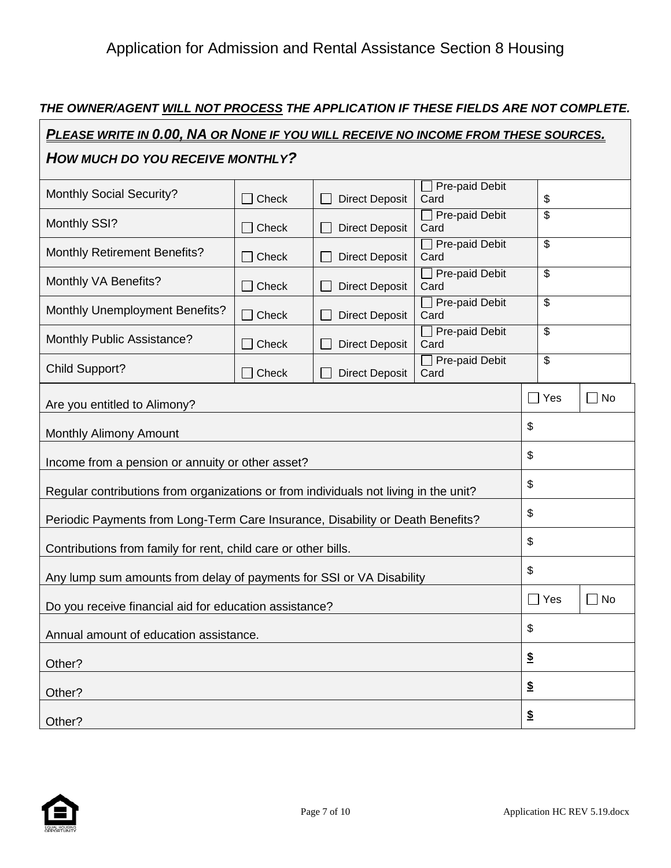## *THE OWNER/AGENT WILL NOT PROCESS THE APPLICATION IF THESE FIELDS ARE NOT COMPLETE.*

| <u>PLEASE WRITE IN 0.00, NA OR NONE IF YOU WILL RECEIVE NO INCOME FROM THESE SOURCES.</u> |              |                       |                               |                            |                         |
|-------------------------------------------------------------------------------------------|--------------|-----------------------|-------------------------------|----------------------------|-------------------------|
| HOW MUCH DO YOU RECEIVE MONTHLY?                                                          |              |                       |                               |                            |                         |
| <b>Monthly Social Security?</b>                                                           | Check        | <b>Direct Deposit</b> | Pre-paid Debit<br>Card        | \$                         |                         |
| Monthly SSI?                                                                              | Check        | <b>Direct Deposit</b> | Pre-paid Debit<br>Card        | \$                         |                         |
| <b>Monthly Retirement Benefits?</b>                                                       | $\Box$ Check | <b>Direct Deposit</b> | $\Box$ Pre-paid Debit<br>Card | \$                         |                         |
| Monthly VA Benefits?                                                                      | Check        | <b>Direct Deposit</b> | $\Box$ Pre-paid Debit<br>Card | \$                         |                         |
| <b>Monthly Unemployment Benefits?</b>                                                     | Check        | <b>Direct Deposit</b> | Pre-paid Debit<br>Card        | \$                         |                         |
| Monthly Public Assistance?                                                                | Check        | <b>Direct Deposit</b> | $\Box$ Pre-paid Debit<br>Card | \$                         |                         |
| <b>Child Support?</b>                                                                     | Check        | <b>Direct Deposit</b> | $\Box$ Pre-paid Debit<br>Card | \$                         |                         |
| Are you entitled to Alimony?                                                              |              |                       |                               | $\Box$ Yes                 | $\Box$ No               |
| Monthly Alimony Amount                                                                    |              |                       |                               | \$                         |                         |
| Income from a pension or annuity or other asset?                                          |              |                       |                               | \$                         |                         |
| Regular contributions from organizations or from individuals not living in the unit?      |              |                       |                               | \$                         |                         |
| Periodic Payments from Long-Term Care Insurance, Disability or Death Benefits?            |              |                       |                               | \$                         |                         |
| Contributions from family for rent, child care or other bills.                            |              |                       |                               | \$                         |                         |
| Any lump sum amounts from delay of payments for SSI or VA Disability                      |              |                       |                               | \$                         |                         |
| Do you receive financial aid for education assistance?                                    |              |                       |                               | $\Box$ Yes                 | No<br>$\vert \ \ \vert$ |
| Annual amount of education assistance.                                                    |              |                       |                               | \$                         |                         |
| Other?                                                                                    |              |                       |                               | $\boldsymbol{\mathsf{\$}}$ |                         |
| Other?                                                                                    |              |                       |                               | $\underline{\$}$           |                         |
| Other?                                                                                    |              |                       |                               | $\boldsymbol{\hat{z}}$     |                         |



 $\Gamma$ 

┑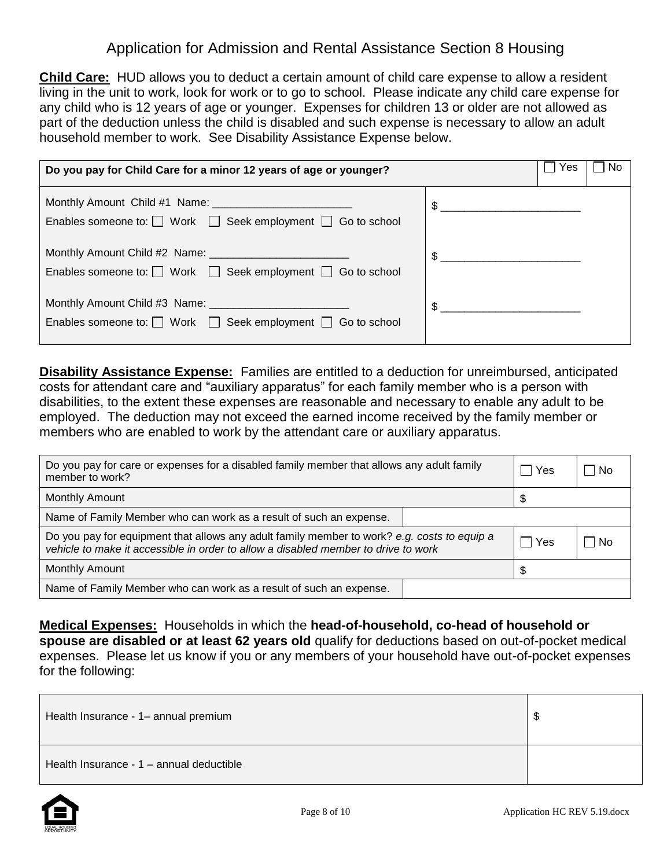**Child Care:** HUD allows you to deduct a certain amount of child care expense to allow a resident living in the unit to work, look for work or to go to school. Please indicate any child care expense for any child who is 12 years of age or younger. Expenses for children 13 or older are not allowed as part of the deduction unless the child is disabled and such expense is necessary to allow an adult household member to work. See Disability Assistance Expense below.

| Do you pay for Child Care for a minor 12 years of age or younger?          |               | l Yes | No |
|----------------------------------------------------------------------------|---------------|-------|----|
| Enables someone to: $\Box$ Work $\Box$ Seek employment $\Box$ Go to school | $\frac{1}{2}$ |       |    |
| Enables someone to: $\Box$ Work $\Box$ Seek employment $\Box$ Go to school | $\frac{1}{2}$ |       |    |
| Enables someone to: $\Box$ Work $\Box$ Seek employment $\Box$ Go to school | \$            |       |    |

**Disability Assistance Expense:** Families are entitled to a deduction for unreimbursed, anticipated costs for attendant care and "auxiliary apparatus" for each family member who is a person with disabilities, to the extent these expenses are reasonable and necessary to enable any adult to be employed. The deduction may not exceed the earned income received by the family member or members who are enabled to work by the attendant care or auxiliary apparatus.

| Do you pay for care or expenses for a disabled family member that allows any adult family<br>member to work?                                                                      | l Yes | – I No |
|-----------------------------------------------------------------------------------------------------------------------------------------------------------------------------------|-------|--------|
| <b>Monthly Amount</b>                                                                                                                                                             | \$.   |        |
| Name of Family Member who can work as a result of such an expense.                                                                                                                |       |        |
| Do you pay for equipment that allows any adult family member to work? e.g. costs to equip a<br>vehicle to make it accessible in order to allow a disabled member to drive to work | ∣ Yes | – I No |
| <b>Monthly Amount</b>                                                                                                                                                             |       |        |
| Name of Family Member who can work as a result of such an expense.                                                                                                                |       |        |

**Medical Expenses:** Households in which the **head-of-household, co-head of household or spouse are disabled or at least 62 years old** qualify for deductions based on out-of-pocket medical expenses. Please let us know if you or any members of your household have out-of-pocket expenses for the following:

| Health Insurance - 1- annual premium     | \$ |
|------------------------------------------|----|
| Health Insurance - 1 – annual deductible |    |

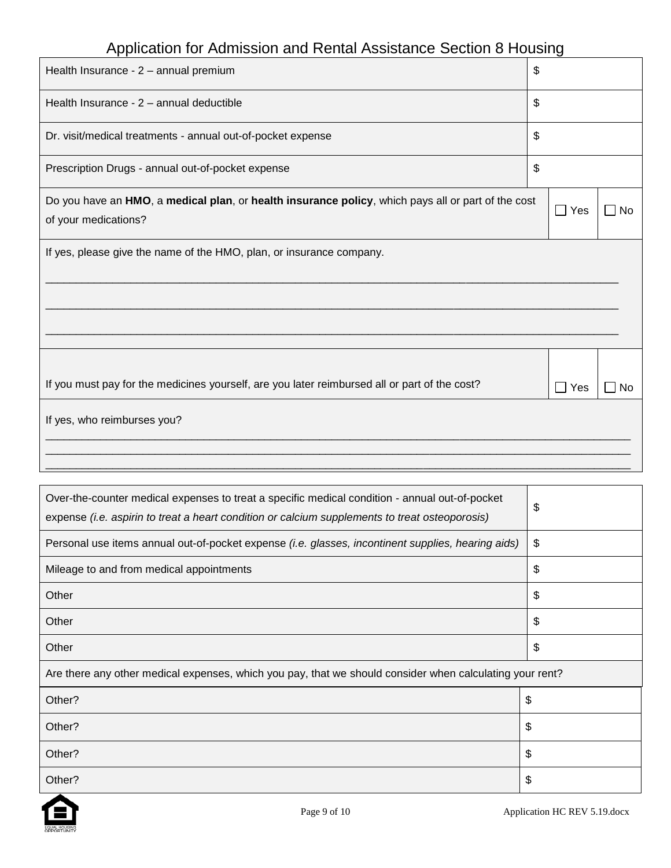| Health Insurance - 2 - annual premium                                                                                      | \$                    |      |
|----------------------------------------------------------------------------------------------------------------------------|-----------------------|------|
| Health Insurance - 2 - annual deductible                                                                                   | \$                    |      |
| Dr. visit/medical treatments - annual out-of-pocket expense                                                                | \$                    |      |
| Prescription Drugs - annual out-of-pocket expense                                                                          | \$                    |      |
| Do you have an HMO, a medical plan, or health insurance policy, which pays all or part of the cost<br>of your medications? | $\Box$ Yes            | ∏ No |
| If yes, please give the name of the HMO, plan, or insurance company.                                                       |                       |      |
|                                                                                                                            |                       |      |
| If you must pay for the medicines yourself, are you later reimbursed all or part of the cost?                              | Yes<br>$\blacksquare$ | l No |
| If yes, who reimburses you?                                                                                                |                       |      |
|                                                                                                                            |                       |      |

| Over-the-counter medical expenses to treat a specific medical condition - annual out-of-pocket<br>expense (i.e. aspirin to treat a heart condition or calcium supplements to treat osteoporosis) | \$ |
|--------------------------------------------------------------------------------------------------------------------------------------------------------------------------------------------------|----|
| Personal use items annual out-of-pocket expense (i.e. glasses, incontinent supplies, hearing aids)                                                                                               | \$ |
| Mileage to and from medical appointments                                                                                                                                                         | \$ |
| Other                                                                                                                                                                                            | \$ |
| Other                                                                                                                                                                                            | \$ |
| Other                                                                                                                                                                                            | \$ |
| Are there any other medical expenses, which you pay, that we should consider when calculating your rent?                                                                                         |    |
| Other?                                                                                                                                                                                           | \$ |
| Other?                                                                                                                                                                                           | \$ |
| Other?                                                                                                                                                                                           | \$ |
| Other?                                                                                                                                                                                           | \$ |